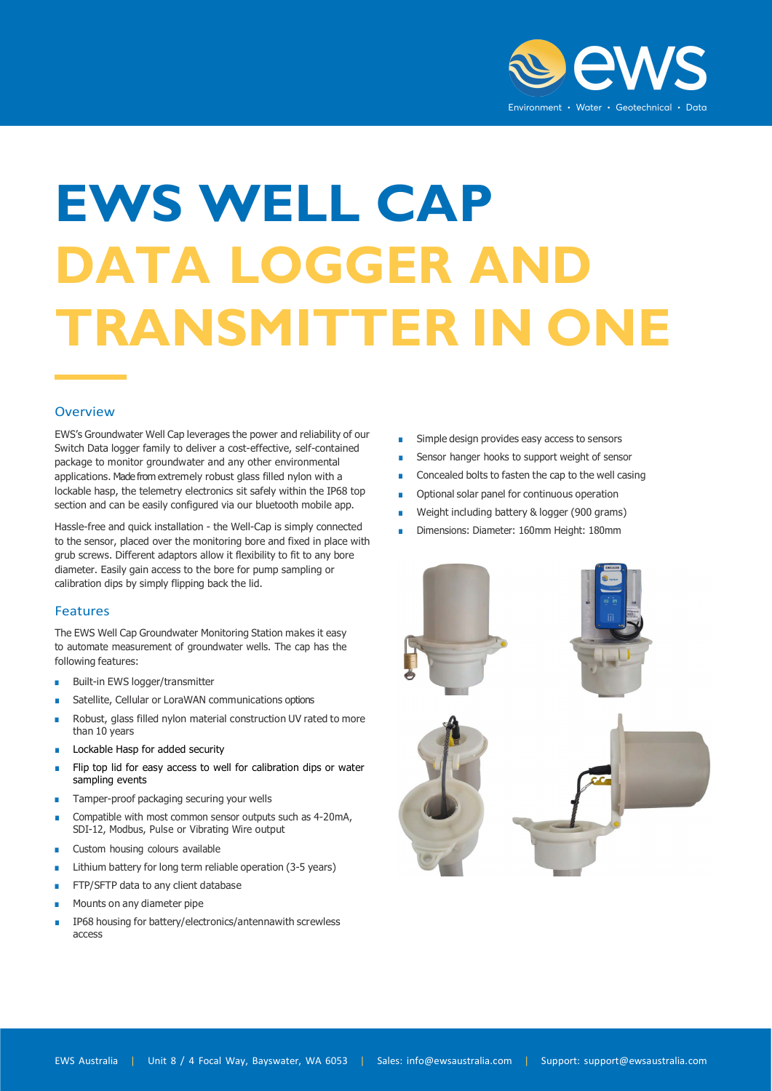

## **EWS WELL CAP DATA LOGGER AND TRANSMITTER IN ONE**

## Overview

EWS's Groundwater Well Cap leverages the power and reliability of our Switch Data logger family to deliver a cost-effective, self-contained package to monitor groundwater and any other environmental applications. Made from extremely robust glass filled nylon with a lockable hasp, the telemetry electronics sit safely within the IP68 top section and can be easily configured via our bluetooth mobile app.

Hassle-free and quick installation - the Well-Cap is simply connected to the sensor, placed over the monitoring bore and fixed in place with grub screws. Different adaptors allow it flexibility to fit to any bore diameter. Easily gain access to the bore for pump sampling or calibration dips by simply flipping back the lid.

## Features

The EWS Well Cap Groundwater Monitoring Station makes it easy to automate measurement of groundwater wells. The cap has the following features:

- Built-in EWS logger/transmitter
- Satellite, Cellular or LoraWAN communications options
- Robust, glass filled nylon material construction UV rated to more than 10 years
- Lockable Hasp for added security
- Flip top lid for easy access to well for calibration dips or water sampling events
- Tamper-proof packaging securing your wells
- Compatible with most common sensor outputs such as 4-20mA, SDI-12, Modbus, Pulse or Vibrating Wire output
- Custom housing colours available
- Lithium battery for long term reliable operation (3-5 years)
- FTP/SFTP data to any client database
- Mounts on any diameter pipe
- IP68 housing for battery/electronics/antennawith screwless access
- Simple design provides easy access to sensors
- Sensor hanger hooks to support weight of sensor
- Concealed bolts to fasten the cap to the well casing
- Optional solar panel for continuous operation
- Weight including battery & logger (900 grams)
- Dimensions: Diameter: 160mm Height: 180mm

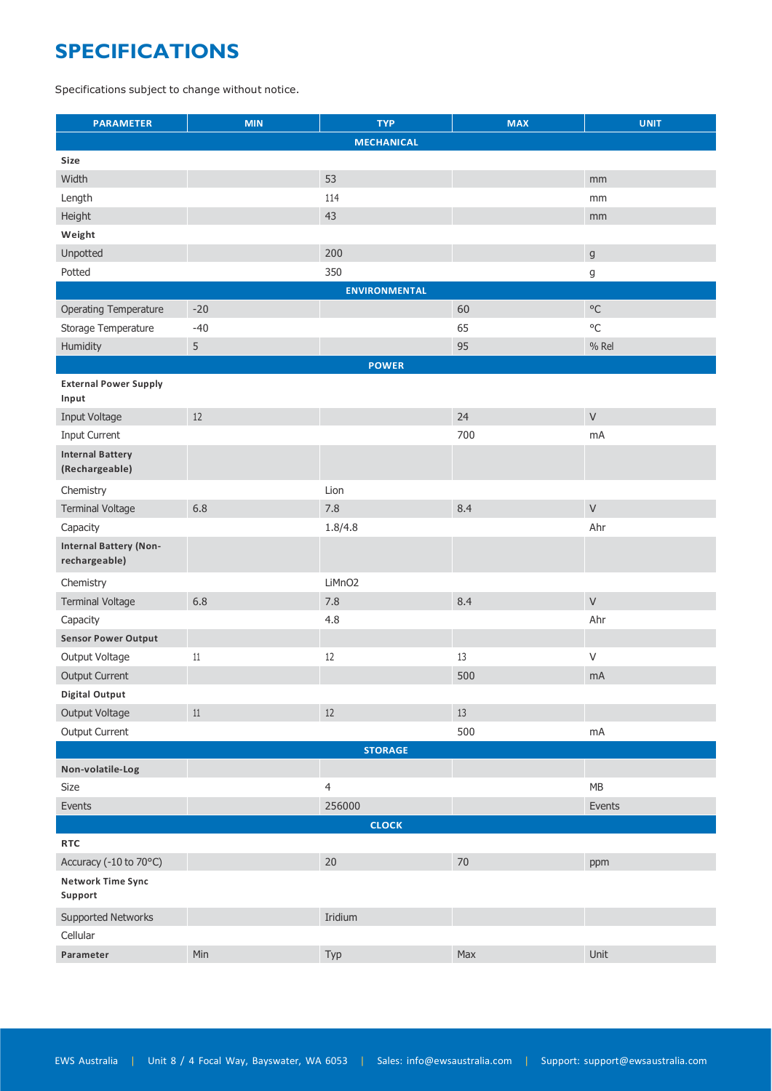## **SPECIFICATIONS**

Specifications subject to change without notice.

| <b>PARAMETER</b>                               | <b>MIN</b> | <b>TYP</b>         | <b>MAX</b> | <b>UNIT</b> |  |  |  |
|------------------------------------------------|------------|--------------------|------------|-------------|--|--|--|
|                                                |            | <b>MECHANICAL</b>  |            |             |  |  |  |
| Size                                           |            |                    |            |             |  |  |  |
| Width                                          |            | 53                 |            | mm          |  |  |  |
| Length                                         |            | 114                |            | mm          |  |  |  |
| Height                                         |            | 43                 |            | mm          |  |  |  |
| Weight                                         |            |                    |            |             |  |  |  |
| Unpotted                                       |            | 200                |            | $\mathsf g$ |  |  |  |
| Potted                                         |            | 350                |            | g           |  |  |  |
| <b>ENVIRONMENTAL</b>                           |            |                    |            |             |  |  |  |
| Operating Temperature                          | $-20$      |                    | 60         | $\circ$ C   |  |  |  |
| Storage Temperature                            | $-40$      |                    | 65         | $\circ$ C   |  |  |  |
| Humidity                                       | $\sqrt{5}$ |                    | 95         | % Rel       |  |  |  |
|                                                |            | <b>POWER</b>       |            |             |  |  |  |
| <b>External Power Supply</b><br>Input          |            |                    |            |             |  |  |  |
| Input Voltage                                  | $12$       |                    | 24         | $\vee$      |  |  |  |
| Input Current                                  |            |                    | 700        | mA          |  |  |  |
| <b>Internal Battery</b>                        |            |                    |            |             |  |  |  |
| (Rechargeable)                                 |            |                    |            |             |  |  |  |
| Chemistry                                      |            | Lion               |            |             |  |  |  |
| <b>Terminal Voltage</b>                        | 6.8        | 7.8                | 8.4        | $\vee$      |  |  |  |
| Capacity                                       |            | 1.8/4.8            |            | Ahr         |  |  |  |
| <b>Internal Battery (Non-</b><br>rechargeable) |            |                    |            |             |  |  |  |
| Chemistry                                      |            | LiMnO <sub>2</sub> |            |             |  |  |  |
| <b>Terminal Voltage</b>                        | 6.8        | 7.8                | 8.4        | $\mathsf V$ |  |  |  |
| Capacity                                       |            | 4.8                |            | Ahr         |  |  |  |
| <b>Sensor Power Output</b>                     |            |                    |            |             |  |  |  |
| Output Voltage                                 | 11         | 12                 | 13         | $\vee$      |  |  |  |
| <b>Output Current</b>                          |            |                    | 500        | mA          |  |  |  |
| <b>Digital Output</b>                          |            |                    |            |             |  |  |  |
| Output Voltage                                 | $11\,$     | $12$               | $13\,$     |             |  |  |  |
| <b>Output Current</b>                          |            |                    | 500        | mA          |  |  |  |
| <b>STORAGE</b>                                 |            |                    |            |             |  |  |  |
| Non-volatile-Log                               |            |                    |            |             |  |  |  |
| Size                                           |            | $\overline{4}$     |            | ${\sf MB}$  |  |  |  |
| Events                                         |            | 256000             |            | Events      |  |  |  |
| <b>CLOCK</b>                                   |            |                    |            |             |  |  |  |
| <b>RTC</b>                                     |            |                    |            |             |  |  |  |
| Accuracy (-10 to 70°C)                         |            | 20                 | $70\,$     | ppm         |  |  |  |
| <b>Network Time Sync</b><br>Support            |            |                    |            |             |  |  |  |
| Supported Networks                             |            | Iridium            |            |             |  |  |  |
| Cellular                                       |            |                    |            |             |  |  |  |
| Parameter                                      | Min        | Typ                | Max        | Unit        |  |  |  |